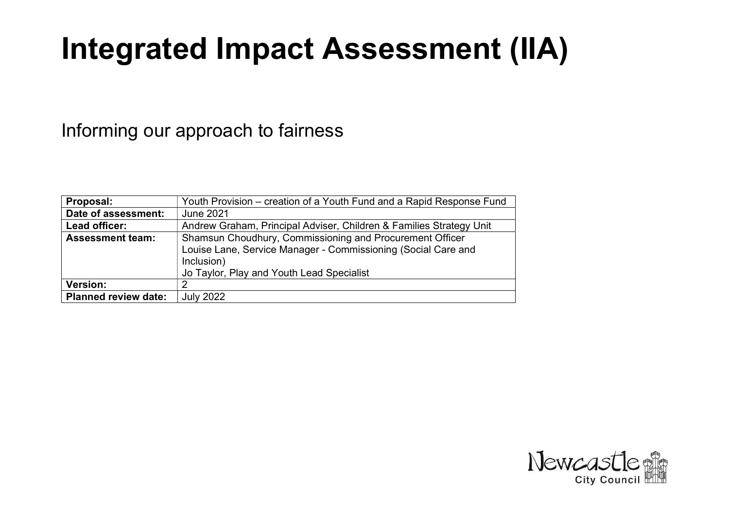# Integrated Impact Assessment (IIA)

# Informing our approach to fairness

| Proposal:                   | Youth Provision – creation of a Youth Fund and a Rapid Response Fund |
|-----------------------------|----------------------------------------------------------------------|
| Date of assessment:         | <b>June 2021</b>                                                     |
| Lead officer:               | Andrew Graham, Principal Adviser, Children & Families Strategy Unit  |
| <b>Assessment team:</b>     | Shamsun Choudhury, Commissioning and Procurement Officer             |
|                             | Louise Lane, Service Manager - Commissioning (Social Care and        |
|                             | Inclusion)                                                           |
|                             | Jo Taylor, Play and Youth Lead Specialist                            |
| <b>Version:</b>             | 2                                                                    |
| <b>Planned review date:</b> | <b>July 2022</b>                                                     |

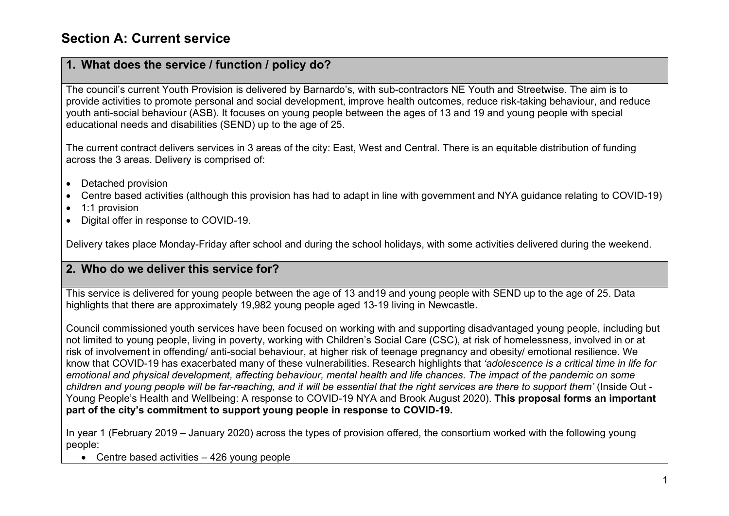#### Section A: Current service

#### 1. What does the service / function / policy do?

The council's current Youth Provision is delivered by Barnardo's, with sub-contractors NE Youth and Streetwise. The aim is to provide activities to promote personal and social development, improve health outcomes, reduce risk-taking behaviour, and reduce youth anti-social behaviour (ASB). It focuses on young people between the ages of 13 and 19 and young people with special educational needs and disabilities (SEND) up to the age of 25.

The current contract delivers services in 3 areas of the city: East, West and Central. There is an equitable distribution of funding across the 3 areas. Delivery is comprised of:

- Detached provision
- Centre based activities (although this provision has had to adapt in line with government and NYA guidance relating to COVID-19)
- 1:1 provision
- Digital offer in response to COVID-19.

Delivery takes place Monday-Friday after school and during the school holidays, with some activities delivered during the weekend.

#### 2. Who do we deliver this service for?

This service is delivered for young people between the age of 13 and19 and young people with SEND up to the age of 25. Data highlights that there are approximately 19,982 young people aged 13-19 living in Newcastle.

Council commissioned youth services have been focused on working with and supporting disadvantaged young people, including but not limited to young people, living in poverty, working with Children's Social Care (CSC), at risk of homelessness, involved in or at risk of involvement in offending/ anti-social behaviour, at higher risk of teenage pregnancy and obesity/ emotional resilience. We know that COVID-19 has exacerbated many of these vulnerabilities. Research highlights that 'adolescence is a critical time in life for emotional and physical development, affecting behaviour, mental health and life chances. The impact of the pandemic on some children and young people will be far-reaching, and it will be essential that the right services are there to support them' (Inside Out - Young People's Health and Wellbeing: A response to COVID-19 NYA and Brook August 2020). This proposal forms an important part of the city's commitment to support young people in response to COVID-19.

In year 1 (February 2019 – January 2020) across the types of provision offered, the consortium worked with the following young people:

• Centre based activities – 426 young people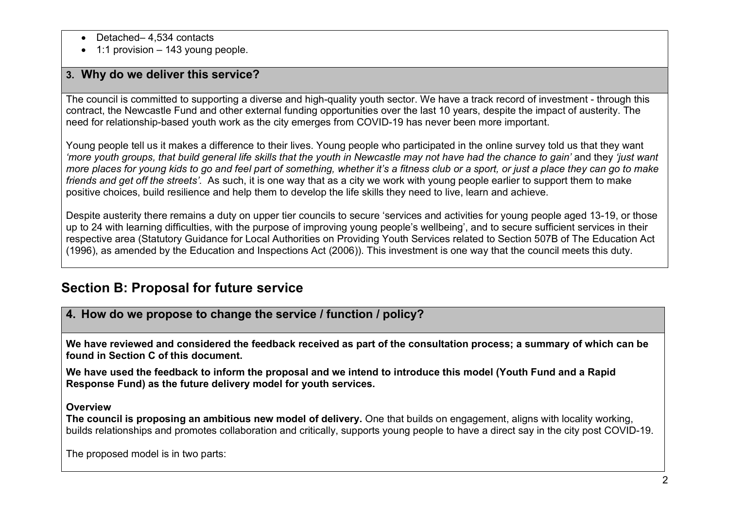- Detached– 4,534 contacts
- $\bullet$  1:1 provision 143 young people.

#### 3. Why do we deliver this service?

The council is committed to supporting a diverse and high-quality youth sector. We have a track record of investment - through this contract, the Newcastle Fund and other external funding opportunities over the last 10 years, despite the impact of austerity. The need for relationship-based youth work as the city emerges from COVID-19 has never been more important.

Young people tell us it makes a difference to their lives. Young people who participated in the online survey told us that they want 'more youth groups, that build general life skills that the youth in Newcastle may not have had the chance to gain' and they 'just want more places for young kids to go and feel part of something, whether it's a fitness club or a sport, or just a place they can go to make friends and get off the streets'. As such, it is one way that as a city we work with young people earlier to support them to make positive choices, build resilience and help them to develop the life skills they need to live, learn and achieve.

Despite austerity there remains a duty on upper tier councils to secure 'services and activities for young people aged 13-19, or those up to 24 with learning difficulties, with the purpose of improving young people's wellbeing', and to secure sufficient services in their respective area (Statutory Guidance for Local Authorities on Providing Youth Services related to Section 507B of The Education Act (1996), as amended by the Education and Inspections Act (2006)). This investment is one way that the council meets this duty.

## Section B: Proposal for future service

#### 4. How do we propose to change the service / function / policy?

We have reviewed and considered the feedback received as part of the consultation process; a summary of which can be found in Section C of this document.

We have used the feedback to inform the proposal and we intend to introduce this model (Youth Fund and a Rapid Response Fund) as the future delivery model for youth services.

#### **Overview**

The council is proposing an ambitious new model of delivery. One that builds on engagement, aligns with locality working, builds relationships and promotes collaboration and critically, supports young people to have a direct say in the city post COVID-19.

The proposed model is in two parts: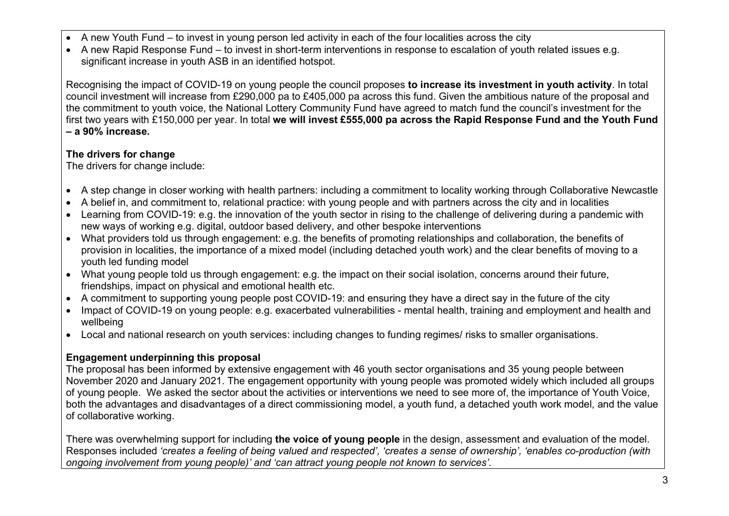- A new Youth Fund to invest in young person led activity in each of the four localities across the city
- A new Rapid Response Fund to invest in short-term interventions in response to escalation of youth related issues e.g. significant increase in youth ASB in an identified hotspot.

Recognising the impact of COVID-19 on young people the council proposes to increase its investment in youth activity. In total council investment will increase from £290,000 pa to £405,000 pa across this fund. Given the ambitious nature of the proposal and the commitment to youth voice, the National Lottery Community Fund have agreed to match fund the council's investment for the first two years with £150,000 per year. In total we will invest £555,000 pa across the Rapid Response Fund and the Youth Fund – a 90% increase.

#### The drivers for change

The drivers for change include:

- A step change in closer working with health partners: including a commitment to locality working through Collaborative Newcastle
- A belief in, and commitment to, relational practice: with young people and with partners across the city and in localities
- Learning from COVID-19: e.g. the innovation of the youth sector in rising to the challenge of delivering during a pandemic with new ways of working e.g. digital, outdoor based delivery, and other bespoke interventions
- What providers told us through engagement: e.g. the benefits of promoting relationships and collaboration, the benefits of provision in localities, the importance of a mixed model (including detached youth work) and the clear benefits of moving to a youth led funding model
- What young people told us through engagement: e.g. the impact on their social isolation, concerns around their future, friendships, impact on physical and emotional health etc.
- A commitment to supporting young people post COVID-19: and ensuring they have a direct say in the future of the city
- Impact of COVID-19 on young people: e.g. exacerbated vulnerabilities mental health, training and employment and health and wellbeing
- Local and national research on youth services: including changes to funding regimes/ risks to smaller organisations.

#### Engagement underpinning this proposal

The proposal has been informed by extensive engagement with 46 youth sector organisations and 35 young people between November 2020 and January 2021. The engagement opportunity with young people was promoted widely which included all groups of young people. We asked the sector about the activities or interventions we need to see more of, the importance of Youth Voice, both the advantages and disadvantages of a direct commissioning model, a youth fund, a detached youth work model, and the value of collaborative working.

There was overwhelming support for including the voice of young people in the design, assessment and evaluation of the model. Responses included 'creates a feeling of being valued and respected', 'creates a sense of ownership', 'enables co-production (with ongoing involvement from young people)' and 'can attract young people not known to services'.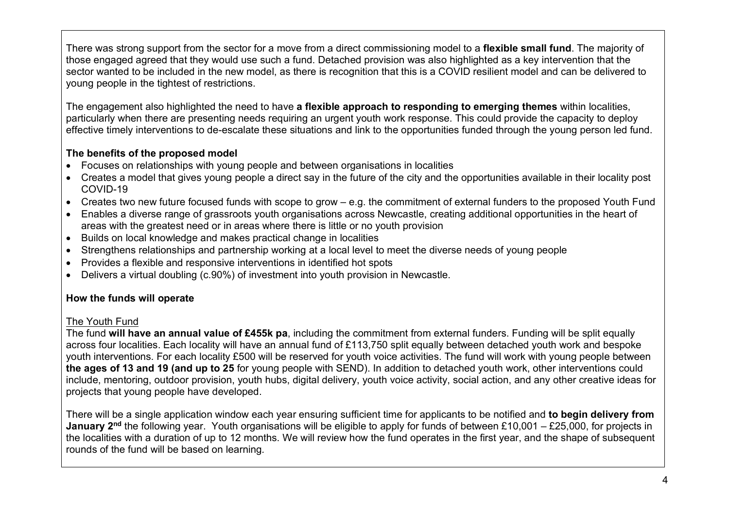There was strong support from the sector for a move from a direct commissioning model to a **flexible small fund**. The majority of those engaged agreed that they would use such a fund. Detached provision was also highlighted as a key intervention that the sector wanted to be included in the new model, as there is recognition that this is a COVID resilient model and can be delivered to young people in the tightest of restrictions.

The engagement also highlighted the need to have a flexible approach to responding to emerging themes within localities, particularly when there are presenting needs requiring an urgent youth work response. This could provide the capacity to deploy effective timely interventions to de-escalate these situations and link to the opportunities funded through the young person led fund.

#### The benefits of the proposed model

- Focuses on relationships with young people and between organisations in localities
- Creates a model that gives young people a direct say in the future of the city and the opportunities available in their locality post COVID-19
- Creates two new future focused funds with scope to grow e.g. the commitment of external funders to the proposed Youth Fund
- Enables a diverse range of grassroots youth organisations across Newcastle, creating additional opportunities in the heart of areas with the greatest need or in areas where there is little or no youth provision
- Builds on local knowledge and makes practical change in localities
- Strengthens relationships and partnership working at a local level to meet the diverse needs of young people
- Provides a flexible and responsive interventions in identified hot spots
- Delivers a virtual doubling (c.90%) of investment into youth provision in Newcastle.

#### How the funds will operate

#### The Youth Fund

The fund will have an annual value of £455k pa, including the commitment from external funders. Funding will be split equally across four localities. Each locality will have an annual fund of £113,750 split equally between detached youth work and bespoke youth interventions. For each locality £500 will be reserved for youth voice activities. The fund will work with young people between the ages of 13 and 19 (and up to 25 for young people with SEND). In addition to detached youth work, other interventions could include, mentoring, outdoor provision, youth hubs, digital delivery, youth voice activity, social action, and any other creative ideas for projects that young people have developed.

There will be a single application window each year ensuring sufficient time for applicants to be notified and to begin delivery from **January 2<sup>nd</sup>** the following year. Youth organisations will be eligible to apply for funds of between £10,001 – £25,000, for projects in the localities with a duration of up to 12 months. We will review how the fund operates in the first year, and the shape of subsequent rounds of the fund will be based on learning.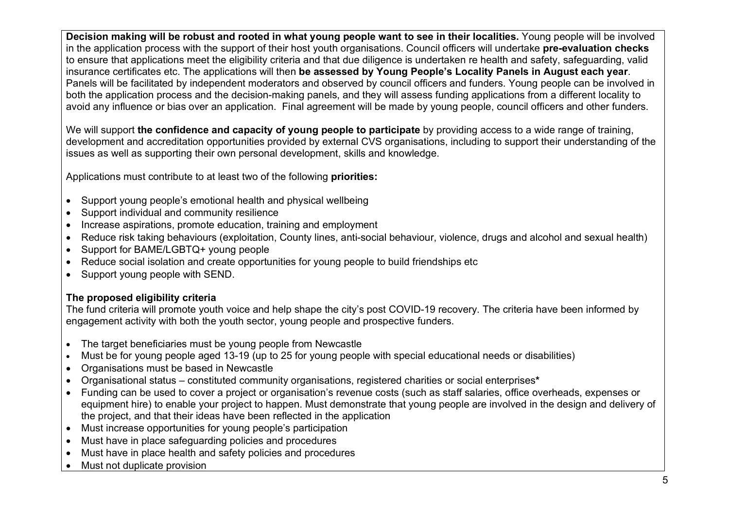Decision making will be robust and rooted in what young people want to see in their localities. Young people will be involved in the application process with the support of their host youth organisations. Council officers will undertake pre-evaluation checks to ensure that applications meet the eligibility criteria and that due diligence is undertaken re health and safety, safeguarding, valid insurance certificates etc. The applications will then be assessed by Young People's Locality Panels in August each year. Panels will be facilitated by independent moderators and observed by council officers and funders. Young people can be involved in both the application process and the decision-making panels, and they will assess funding applications from a different locality to avoid any influence or bias over an application. Final agreement will be made by young people, council officers and other funders.

We will support the confidence and capacity of young people to participate by providing access to a wide range of training, development and accreditation opportunities provided by external CVS organisations, including to support their understanding of the issues as well as supporting their own personal development, skills and knowledge.

Applications must contribute to at least two of the following **priorities:** 

- Support young people's emotional health and physical wellbeing
- Support individual and community resilience
- Increase aspirations, promote education, training and employment
- Reduce risk taking behaviours (exploitation, County lines, anti-social behaviour, violence, drugs and alcohol and sexual health)
- Support for BAME/LGBTQ+ young people
- Reduce social isolation and create opportunities for young people to build friendships etc
- Support young people with SEND.

#### The proposed eligibility criteria

The fund criteria will promote youth voice and help shape the city's post COVID-19 recovery. The criteria have been informed by engagement activity with both the youth sector, young people and prospective funders.

- The target beneficiaries must be young people from Newcastle
- Must be for young people aged 13-19 (up to 25 for young people with special educational needs or disabilities)
- Organisations must be based in Newcastle
- Organisational status constituted community organisations, registered charities or social enterprises\*
- Funding can be used to cover a project or organisation's revenue costs (such as staff salaries, office overheads, expenses or equipment hire) to enable your project to happen. Must demonstrate that young people are involved in the design and delivery of the project, and that their ideas have been reflected in the application
- Must increase opportunities for young people's participation
- Must have in place safeguarding policies and procedures
- Must have in place health and safety policies and procedures
- Must not duplicate provision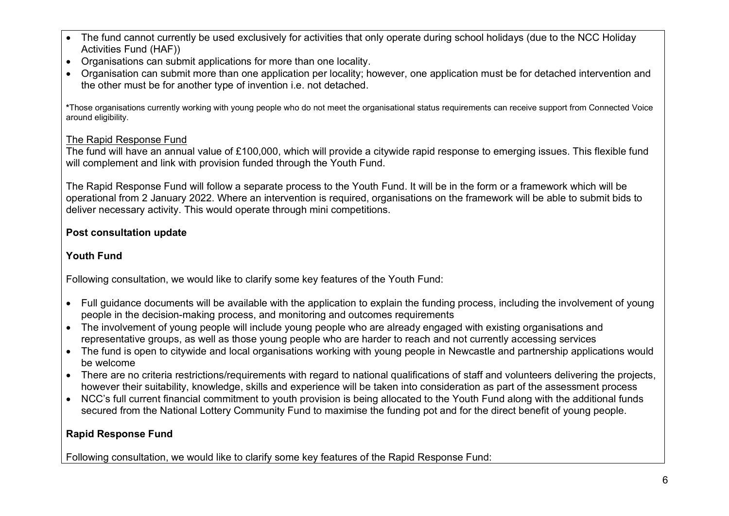- The fund cannot currently be used exclusively for activities that only operate during school holidays (due to the NCC Holiday Activities Fund (HAF))
- Organisations can submit applications for more than one locality.
- Organisation can submit more than one application per locality; however, one application must be for detached intervention and the other must be for another type of invention i.e. not detached.

\*Those organisations currently working with young people who do not meet the organisational status requirements can receive support from Connected Voice around eligibility.

#### The Rapid Response Fund

The fund will have an annual value of £100,000, which will provide a citywide rapid response to emerging issues. This flexible fund will complement and link with provision funded through the Youth Fund.

The Rapid Response Fund will follow a separate process to the Youth Fund. It will be in the form or a framework which will be operational from 2 January 2022. Where an intervention is required, organisations on the framework will be able to submit bids to deliver necessary activity. This would operate through mini competitions.

#### Post consultation update

#### Youth Fund

Following consultation, we would like to clarify some key features of the Youth Fund:

- Full guidance documents will be available with the application to explain the funding process, including the involvement of young people in the decision-making process, and monitoring and outcomes requirements
- The involvement of young people will include young people who are already engaged with existing organisations and representative groups, as well as those young people who are harder to reach and not currently accessing services
- The fund is open to citywide and local organisations working with young people in Newcastle and partnership applications would be welcome
- There are no criteria restrictions/requirements with regard to national qualifications of staff and volunteers delivering the projects, however their suitability, knowledge, skills and experience will be taken into consideration as part of the assessment process
- NCC's full current financial commitment to youth provision is being allocated to the Youth Fund along with the additional funds secured from the National Lottery Community Fund to maximise the funding pot and for the direct benefit of young people.

#### Rapid Response Fund

Following consultation, we would like to clarify some key features of the Rapid Response Fund: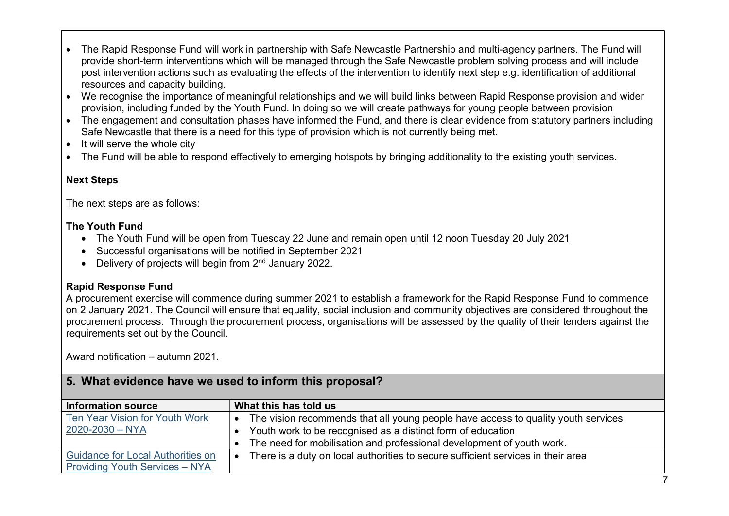- The Rapid Response Fund will work in partnership with Safe Newcastle Partnership and multi-agency partners. The Fund will provide short-term interventions which will be managed through the Safe Newcastle problem solving process and will include post intervention actions such as evaluating the effects of the intervention to identify next step e.g. identification of additional resources and capacity building.
- We recognise the importance of meaningful relationships and we will build links between Rapid Response provision and wider provision, including funded by the Youth Fund. In doing so we will create pathways for young people between provision
- The engagement and consultation phases have informed the Fund, and there is clear evidence from statutory partners including Safe Newcastle that there is a need for this type of provision which is not currently being met.
- $\bullet$  It will serve the whole city
- The Fund will be able to respond effectively to emerging hotspots by bringing additionality to the existing youth services.

#### Next Steps

The next steps are as follows:

#### The Youth Fund

- The Youth Fund will be open from Tuesday 22 June and remain open until 12 noon Tuesday 20 July 2021
- Successful organisations will be notified in September 2021
- $\bullet$  Delivery of projects will begin from  $2<sup>nd</sup>$  January 2022.

#### Rapid Response Fund

A procurement exercise will commence during summer 2021 to establish a framework for the Rapid Response Fund to commence on 2 January 2021. The Council will ensure that equality, social inclusion and community objectives are considered throughout the procurement process. Through the procurement process, organisations will be assessed by the quality of their tenders against the requirements set out by the Council.

Award notification – autumn 2021.

| $\,$ 5. What evidence have we used to inform this proposal? |                                                                                   |  |  |
|-------------------------------------------------------------|-----------------------------------------------------------------------------------|--|--|
| <b>Information source</b>                                   | What this has told us                                                             |  |  |
| Ten Year Vision for Youth Work                              | The vision recommends that all young people have access to quality youth services |  |  |
| $2020 - 2030 - NYA$                                         | • Youth work to be recognised as a distinct form of education                     |  |  |
|                                                             | • The need for mobilisation and professional development of youth work.           |  |  |
| <b>Guidance for Local Authorities on</b>                    | There is a duty on local authorities to secure sufficient services in their area  |  |  |
| <b>Providing Youth Services - NYA</b>                       |                                                                                   |  |  |

#### 5. What evidence have we used to inform this proposal?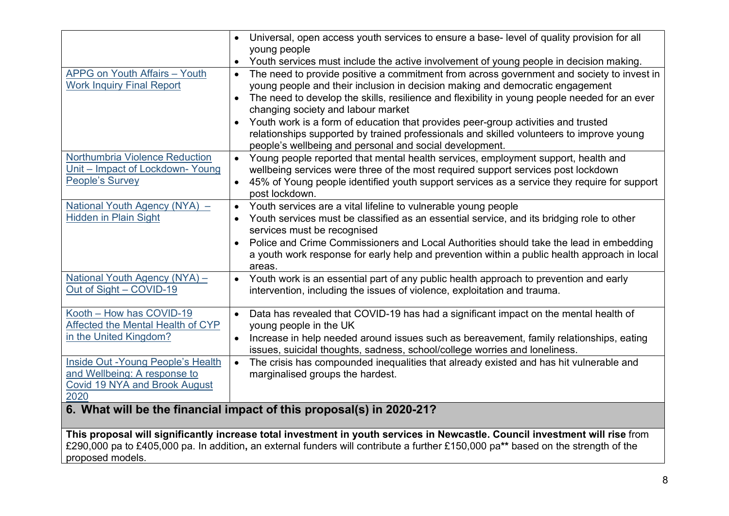|                                                                                                             | Universal, open access youth services to ensure a base-level of quality provision for all<br>$\bullet$<br>young people                                                                                                                                                                                                                                                                                                                |
|-------------------------------------------------------------------------------------------------------------|---------------------------------------------------------------------------------------------------------------------------------------------------------------------------------------------------------------------------------------------------------------------------------------------------------------------------------------------------------------------------------------------------------------------------------------|
|                                                                                                             | Youth services must include the active involvement of young people in decision making.<br>$\bullet$                                                                                                                                                                                                                                                                                                                                   |
| APPG on Youth Affairs - Youth<br><b>Work Inquiry Final Report</b>                                           | The need to provide positive a commitment from across government and society to invest in<br>$\bullet$<br>young people and their inclusion in decision making and democratic engagement<br>The need to develop the skills, resilience and flexibility in young people needed for an ever<br>changing society and labour market                                                                                                        |
|                                                                                                             | Youth work is a form of education that provides peer-group activities and trusted<br>$\bullet$<br>relationships supported by trained professionals and skilled volunteers to improve young<br>people's wellbeing and personal and social development.                                                                                                                                                                                 |
| Northumbria Violence Reduction<br>Unit - Impact of Lockdown- Young<br>People's Survey                       | Young people reported that mental health services, employment support, health and<br>$\bullet$<br>wellbeing services were three of the most required support services post lockdown<br>45% of Young people identified youth support services as a service they require for support<br>$\bullet$<br>post lockdown.                                                                                                                     |
| National Youth Agency (NYA) -<br><b>Hidden in Plain Sight</b>                                               | Youth services are a vital lifeline to vulnerable young people<br>$\bullet$<br>Youth services must be classified as an essential service, and its bridging role to other<br>$\bullet$<br>services must be recognised<br>Police and Crime Commissioners and Local Authorities should take the lead in embedding<br>$\bullet$<br>a youth work response for early help and prevention within a public health approach in local<br>areas. |
| National Youth Agency (NYA) -<br>Out of Sight - COVID-19                                                    | Youth work is an essential part of any public health approach to prevention and early<br>$\bullet$<br>intervention, including the issues of violence, exploitation and trauma.                                                                                                                                                                                                                                                        |
| Kooth - How has COVID-19<br>Affected the Mental Health of CYP<br>in the United Kingdom?                     | Data has revealed that COVID-19 has had a significant impact on the mental health of<br>$\bullet$<br>young people in the UK<br>Increase in help needed around issues such as bereavement, family relationships, eating<br>$\bullet$<br>issues, suicidal thoughts, sadness, school/college worries and loneliness.                                                                                                                     |
| Inside Out - Young People's Health<br>and Wellbeing: A response to<br>Covid 19 NYA and Brook August<br>2020 | The crisis has compounded inequalities that already existed and has hit vulnerable and<br>$\bullet$<br>marginalised groups the hardest.                                                                                                                                                                                                                                                                                               |
|                                                                                                             | 6. What will be the financial impact of this proposal(s) in 2020-21?                                                                                                                                                                                                                                                                                                                                                                  |

This proposal will significantly increase total investment in youth services in Newcastle. Council investment will rise from £290,000 pa to £405,000 pa. In addition, an external funders will contribute a further £150,000 pa\*\* based on the strength of the proposed models.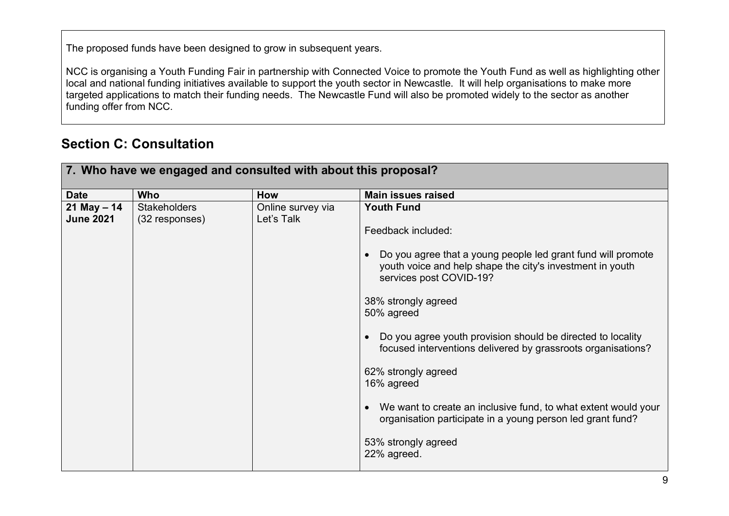The proposed funds have been designed to grow in subsequent years.

NCC is organising a Youth Funding Fair in partnership with Connected Voice to promote the Youth Fund as well as highlighting other local and national funding initiatives available to support the youth sector in Newcastle. It will help organisations to make more targeted applications to match their funding needs. The Newcastle Fund will also be promoted widely to the sector as another funding offer from NCC.

### Section C: Consultation

| 7. Who have we engaged and consulted with about this proposal? |                     |                   |                                                                                                                                                                   |
|----------------------------------------------------------------|---------------------|-------------------|-------------------------------------------------------------------------------------------------------------------------------------------------------------------|
| <b>Date</b>                                                    | <b>Who</b>          | How               | <b>Main issues raised</b>                                                                                                                                         |
| 21 May $- 14$                                                  | <b>Stakeholders</b> | Online survey via | <b>Youth Fund</b>                                                                                                                                                 |
| <b>June 2021</b>                                               | (32 responses)      | Let's Talk        |                                                                                                                                                                   |
|                                                                |                     |                   | Feedback included:                                                                                                                                                |
|                                                                |                     |                   | Do you agree that a young people led grant fund will promote<br>$\bullet$<br>youth voice and help shape the city's investment in youth<br>services post COVID-19? |
|                                                                |                     |                   | 38% strongly agreed<br>50% agreed                                                                                                                                 |
|                                                                |                     |                   | Do you agree youth provision should be directed to locality<br>$\bullet$<br>focused interventions delivered by grassroots organisations?                          |
|                                                                |                     |                   | 62% strongly agreed<br>16% agreed                                                                                                                                 |
|                                                                |                     |                   | We want to create an inclusive fund, to what extent would your<br>$\bullet$<br>organisation participate in a young person led grant fund?                         |
|                                                                |                     |                   | 53% strongly agreed<br>22% agreed.                                                                                                                                |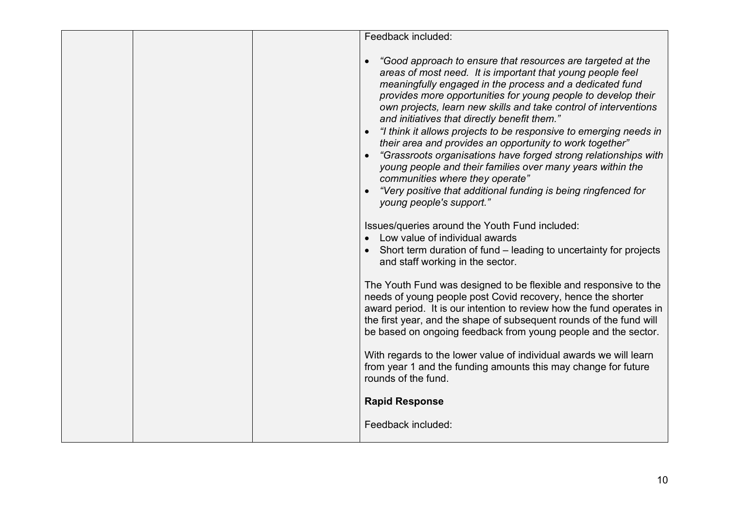| Feedback included:                                                                                                                                                                                                                                                                                                                                                                                                                                                                                                                                                                                                                                                                                                                                                            |
|-------------------------------------------------------------------------------------------------------------------------------------------------------------------------------------------------------------------------------------------------------------------------------------------------------------------------------------------------------------------------------------------------------------------------------------------------------------------------------------------------------------------------------------------------------------------------------------------------------------------------------------------------------------------------------------------------------------------------------------------------------------------------------|
| "Good approach to ensure that resources are targeted at the<br>areas of most need. It is important that young people feel<br>meaningfully engaged in the process and a dedicated fund<br>provides more opportunities for young people to develop their<br>own projects, learn new skills and take control of interventions<br>and initiatives that directly benefit them."<br>"I think it allows projects to be responsive to emerging needs in<br>their area and provides an opportunity to work together"<br>"Grassroots organisations have forged strong relationships with<br>young people and their families over many years within the<br>communities where they operate"<br>"Very positive that additional funding is being ringfenced for<br>young people's support." |
| Issues/queries around the Youth Fund included:<br>Low value of individual awards<br>• Short term duration of fund – leading to uncertainty for projects<br>and staff working in the sector.                                                                                                                                                                                                                                                                                                                                                                                                                                                                                                                                                                                   |
| The Youth Fund was designed to be flexible and responsive to the<br>needs of young people post Covid recovery, hence the shorter<br>award period. It is our intention to review how the fund operates in<br>the first year, and the shape of subsequent rounds of the fund will<br>be based on ongoing feedback from young people and the sector.                                                                                                                                                                                                                                                                                                                                                                                                                             |
| With regards to the lower value of individual awards we will learn<br>from year 1 and the funding amounts this may change for future<br>rounds of the fund.                                                                                                                                                                                                                                                                                                                                                                                                                                                                                                                                                                                                                   |
| <b>Rapid Response</b>                                                                                                                                                                                                                                                                                                                                                                                                                                                                                                                                                                                                                                                                                                                                                         |
| Feedback included:                                                                                                                                                                                                                                                                                                                                                                                                                                                                                                                                                                                                                                                                                                                                                            |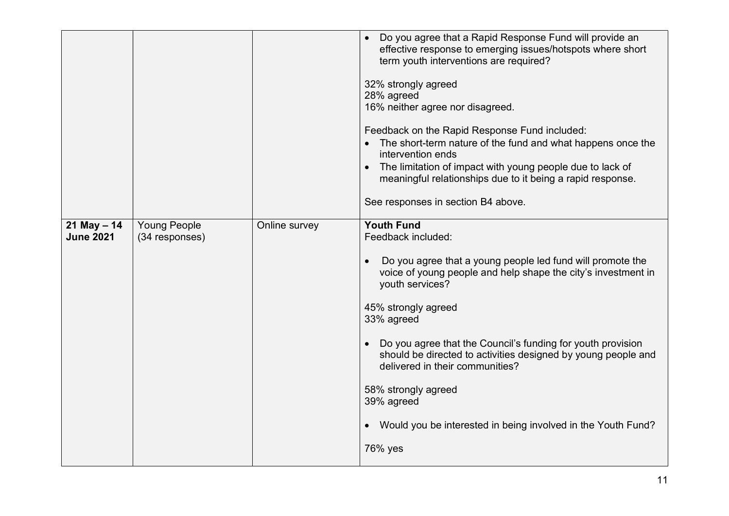|                                     |                                       |               | Do you agree that a Rapid Response Fund will provide an<br>effective response to emerging issues/hotspots where short<br>term youth interventions are required?<br>32% strongly agreed<br>28% agreed<br>16% neither agree nor disagreed.<br>Feedback on the Rapid Response Fund included:<br>The short-term nature of the fund and what happens once the<br>intervention ends<br>The limitation of impact with young people due to lack of<br>meaningful relationships due to it being a rapid response.<br>See responses in section B4 above. |
|-------------------------------------|---------------------------------------|---------------|------------------------------------------------------------------------------------------------------------------------------------------------------------------------------------------------------------------------------------------------------------------------------------------------------------------------------------------------------------------------------------------------------------------------------------------------------------------------------------------------------------------------------------------------|
| $21$ May $- 14$<br><b>June 2021</b> | <b>Young People</b><br>(34 responses) | Online survey | <b>Youth Fund</b><br>Feedback included:<br>Do you agree that a young people led fund will promote the<br>voice of young people and help shape the city's investment in<br>youth services?<br>45% strongly agreed<br>33% agreed<br>Do you agree that the Council's funding for youth provision<br>$\bullet$<br>should be directed to activities designed by young people and<br>delivered in their communities?<br>58% strongly agreed<br>39% agreed<br>Would you be interested in being involved in the Youth Fund?<br>$\bullet$<br>76% yes    |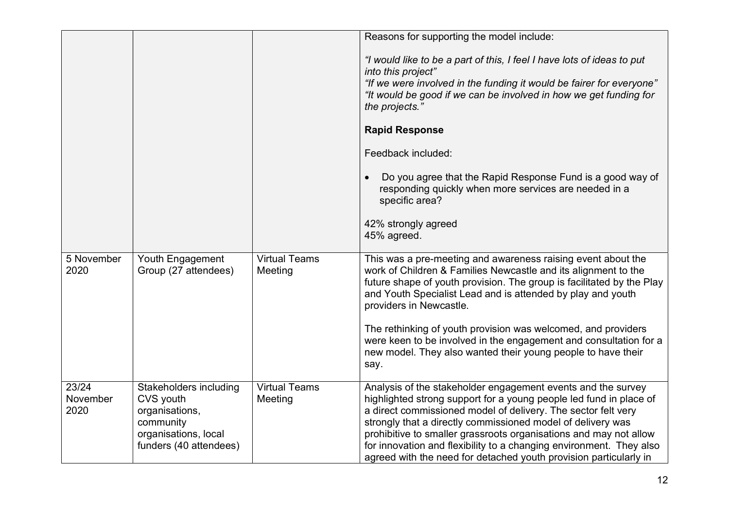|                           |                                                                                                                      |                                 | Reasons for supporting the model include:                                                                                                                                                                                                                                                                                                                                                                                                                                           |
|---------------------------|----------------------------------------------------------------------------------------------------------------------|---------------------------------|-------------------------------------------------------------------------------------------------------------------------------------------------------------------------------------------------------------------------------------------------------------------------------------------------------------------------------------------------------------------------------------------------------------------------------------------------------------------------------------|
|                           |                                                                                                                      |                                 | "I would like to be a part of this, I feel I have lots of ideas to put<br>into this project"                                                                                                                                                                                                                                                                                                                                                                                        |
|                           |                                                                                                                      |                                 | "If we were involved in the funding it would be fairer for everyone"<br>"It would be good if we can be involved in how we get funding for<br>the projects."                                                                                                                                                                                                                                                                                                                         |
|                           |                                                                                                                      |                                 | <b>Rapid Response</b>                                                                                                                                                                                                                                                                                                                                                                                                                                                               |
|                           |                                                                                                                      |                                 | Feedback included:                                                                                                                                                                                                                                                                                                                                                                                                                                                                  |
|                           |                                                                                                                      |                                 | Do you agree that the Rapid Response Fund is a good way of<br>$\bullet$<br>responding quickly when more services are needed in a<br>specific area?                                                                                                                                                                                                                                                                                                                                  |
|                           |                                                                                                                      |                                 | 42% strongly agreed<br>45% agreed.                                                                                                                                                                                                                                                                                                                                                                                                                                                  |
| 5 November<br>2020        | Youth Engagement<br>Group (27 attendees)                                                                             | <b>Virtual Teams</b><br>Meeting | This was a pre-meeting and awareness raising event about the<br>work of Children & Families Newcastle and its alignment to the<br>future shape of youth provision. The group is facilitated by the Play<br>and Youth Specialist Lead and is attended by play and youth<br>providers in Newcastle.                                                                                                                                                                                   |
|                           |                                                                                                                      |                                 | The rethinking of youth provision was welcomed, and providers<br>were keen to be involved in the engagement and consultation for a<br>new model. They also wanted their young people to have their<br>say.                                                                                                                                                                                                                                                                          |
| 23/24<br>November<br>2020 | Stakeholders including<br>CVS youth<br>organisations,<br>community<br>organisations, local<br>funders (40 attendees) | <b>Virtual Teams</b><br>Meeting | Analysis of the stakeholder engagement events and the survey<br>highlighted strong support for a young people led fund in place of<br>a direct commissioned model of delivery. The sector felt very<br>strongly that a directly commissioned model of delivery was<br>prohibitive to smaller grassroots organisations and may not allow<br>for innovation and flexibility to a changing environment. They also<br>agreed with the need for detached youth provision particularly in |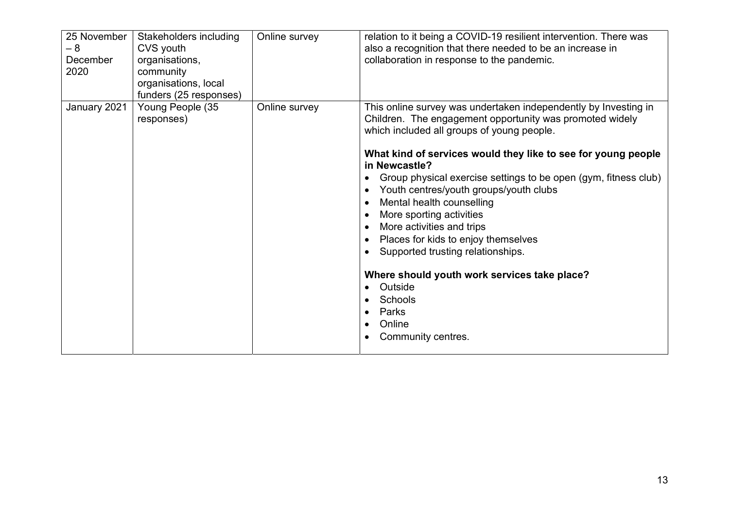| 25 November<br>$-8$<br>December<br>2020 | Stakeholders including<br>CVS youth<br>organisations,<br>community<br>organisations, local<br>funders (25 responses) | Online survey | relation to it being a COVID-19 resilient intervention. There was<br>also a recognition that there needed to be an increase in<br>collaboration in response to the pandemic.                                                                                                                                                                                                                                                                                                                                                                                                                                                                                                                                                            |
|-----------------------------------------|----------------------------------------------------------------------------------------------------------------------|---------------|-----------------------------------------------------------------------------------------------------------------------------------------------------------------------------------------------------------------------------------------------------------------------------------------------------------------------------------------------------------------------------------------------------------------------------------------------------------------------------------------------------------------------------------------------------------------------------------------------------------------------------------------------------------------------------------------------------------------------------------------|
| January 2021                            | Young People (35<br>responses)                                                                                       | Online survey | This online survey was undertaken independently by Investing in<br>Children. The engagement opportunity was promoted widely<br>which included all groups of young people.<br>What kind of services would they like to see for young people<br>in Newcastle?<br>Group physical exercise settings to be open (gym, fitness club)<br>Youth centres/youth groups/youth clubs<br>$\bullet$<br>Mental health counselling<br>$\bullet$<br>More sporting activities<br>More activities and trips<br>$\bullet$<br>Places for kids to enjoy themselves<br>Supported trusting relationships.<br>Where should youth work services take place?<br>Outside<br>Schools<br>$\bullet$<br>Parks<br>$\bullet$<br>Online<br>$\bullet$<br>Community centres. |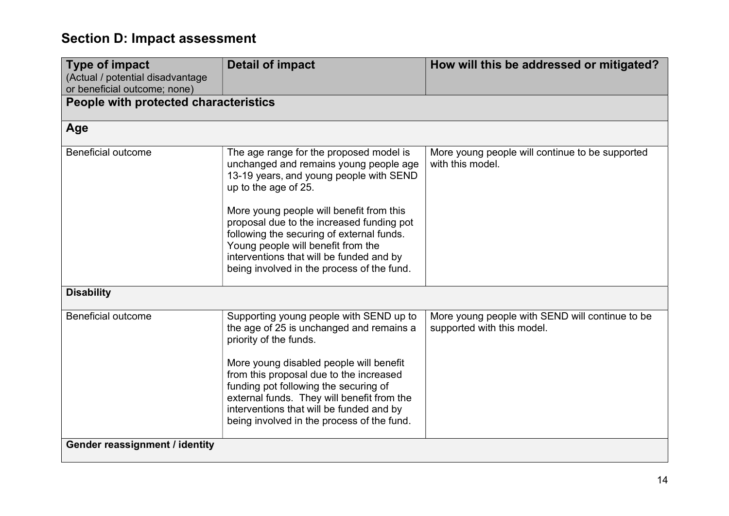# Section D: Impact assessment

| <b>Type of impact</b><br>(Actual / potential disadvantage<br>or beneficial outcome; none) | <b>Detail of impact</b>                                                                                                                                                                                                                                                                                                                                                                                                    | How will this be addressed or mitigated?                                      |
|-------------------------------------------------------------------------------------------|----------------------------------------------------------------------------------------------------------------------------------------------------------------------------------------------------------------------------------------------------------------------------------------------------------------------------------------------------------------------------------------------------------------------------|-------------------------------------------------------------------------------|
| People with protected characteristics                                                     |                                                                                                                                                                                                                                                                                                                                                                                                                            |                                                                               |
| Age                                                                                       |                                                                                                                                                                                                                                                                                                                                                                                                                            |                                                                               |
| <b>Beneficial outcome</b>                                                                 | The age range for the proposed model is<br>unchanged and remains young people age<br>13-19 years, and young people with SEND<br>up to the age of 25.<br>More young people will benefit from this<br>proposal due to the increased funding pot<br>following the securing of external funds.<br>Young people will benefit from the<br>interventions that will be funded and by<br>being involved in the process of the fund. | More young people will continue to be supported<br>with this model.           |
| <b>Disability</b>                                                                         |                                                                                                                                                                                                                                                                                                                                                                                                                            |                                                                               |
| <b>Beneficial outcome</b>                                                                 | Supporting young people with SEND up to<br>the age of 25 is unchanged and remains a<br>priority of the funds.<br>More young disabled people will benefit<br>from this proposal due to the increased<br>funding pot following the securing of<br>external funds. They will benefit from the<br>interventions that will be funded and by<br>being involved in the process of the fund.                                       | More young people with SEND will continue to be<br>supported with this model. |
| Gender reassignment / identity                                                            |                                                                                                                                                                                                                                                                                                                                                                                                                            |                                                                               |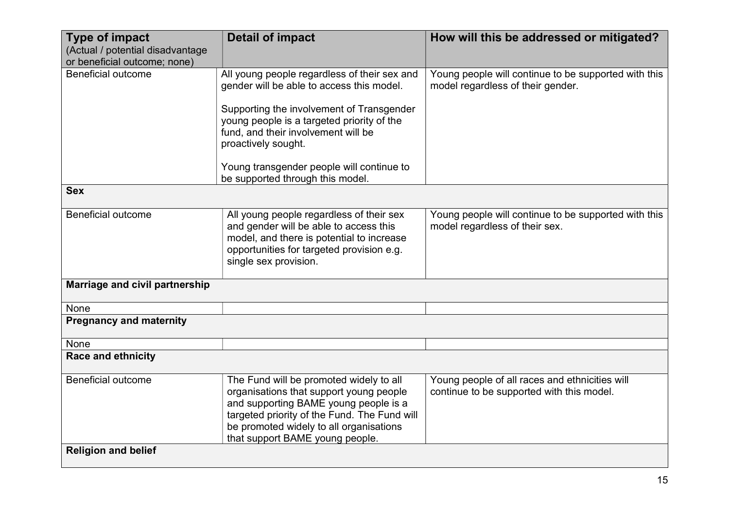| <b>Type of impact</b><br>(Actual / potential disadvantage | <b>Detail of impact</b>                                                                                                                                                                                                                                   | How will this be addressed or mitigated?                                                    |
|-----------------------------------------------------------|-----------------------------------------------------------------------------------------------------------------------------------------------------------------------------------------------------------------------------------------------------------|---------------------------------------------------------------------------------------------|
| or beneficial outcome; none)                              |                                                                                                                                                                                                                                                           |                                                                                             |
| <b>Beneficial outcome</b>                                 | All young people regardless of their sex and<br>gender will be able to access this model.                                                                                                                                                                 | Young people will continue to be supported with this<br>model regardless of their gender.   |
|                                                           | Supporting the involvement of Transgender<br>young people is a targeted priority of the<br>fund, and their involvement will be<br>proactively sought.                                                                                                     |                                                                                             |
|                                                           | Young transgender people will continue to<br>be supported through this model.                                                                                                                                                                             |                                                                                             |
| <b>Sex</b>                                                |                                                                                                                                                                                                                                                           |                                                                                             |
| <b>Beneficial outcome</b>                                 | All young people regardless of their sex<br>and gender will be able to access this<br>model, and there is potential to increase<br>opportunities for targeted provision e.g.<br>single sex provision.                                                     | Young people will continue to be supported with this<br>model regardless of their sex.      |
| Marriage and civil partnership                            |                                                                                                                                                                                                                                                           |                                                                                             |
| None                                                      |                                                                                                                                                                                                                                                           |                                                                                             |
| <b>Pregnancy and maternity</b>                            |                                                                                                                                                                                                                                                           |                                                                                             |
| None                                                      |                                                                                                                                                                                                                                                           |                                                                                             |
| <b>Race and ethnicity</b>                                 |                                                                                                                                                                                                                                                           |                                                                                             |
| <b>Beneficial outcome</b>                                 | The Fund will be promoted widely to all<br>organisations that support young people<br>and supporting BAME young people is a<br>targeted priority of the Fund. The Fund will<br>be promoted widely to all organisations<br>that support BAME young people. | Young people of all races and ethnicities will<br>continue to be supported with this model. |
| <b>Religion and belief</b>                                |                                                                                                                                                                                                                                                           |                                                                                             |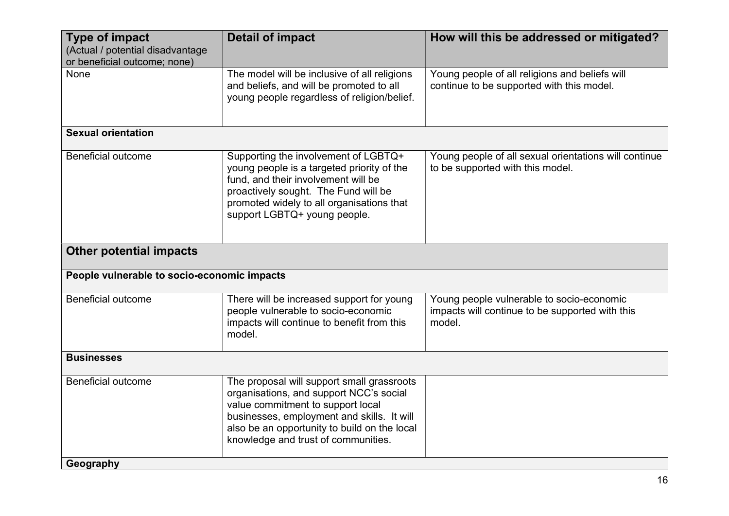| <b>Type of impact</b><br>(Actual / potential disadvantage<br>or beneficial outcome; none) | <b>Detail of impact</b>                                                                                                                                                                                                                                         | How will this be addressed or mitigated?                                                               |
|-------------------------------------------------------------------------------------------|-----------------------------------------------------------------------------------------------------------------------------------------------------------------------------------------------------------------------------------------------------------------|--------------------------------------------------------------------------------------------------------|
| None                                                                                      | The model will be inclusive of all religions<br>and beliefs, and will be promoted to all<br>young people regardless of religion/belief.                                                                                                                         | Young people of all religions and beliefs will<br>continue to be supported with this model.            |
| <b>Sexual orientation</b>                                                                 |                                                                                                                                                                                                                                                                 |                                                                                                        |
| <b>Beneficial outcome</b>                                                                 | Supporting the involvement of LGBTQ+<br>young people is a targeted priority of the<br>fund, and their involvement will be<br>proactively sought. The Fund will be<br>promoted widely to all organisations that<br>support LGBTQ+ young people.                  | Young people of all sexual orientations will continue<br>to be supported with this model.              |
| <b>Other potential impacts</b>                                                            |                                                                                                                                                                                                                                                                 |                                                                                                        |
| People vulnerable to socio-economic impacts                                               |                                                                                                                                                                                                                                                                 |                                                                                                        |
| <b>Beneficial outcome</b>                                                                 | There will be increased support for young<br>people vulnerable to socio-economic<br>impacts will continue to benefit from this<br>model.                                                                                                                        | Young people vulnerable to socio-economic<br>impacts will continue to be supported with this<br>model. |
| <b>Businesses</b>                                                                         |                                                                                                                                                                                                                                                                 |                                                                                                        |
| <b>Beneficial outcome</b>                                                                 | The proposal will support small grassroots<br>organisations, and support NCC's social<br>value commitment to support local<br>businesses, employment and skills. It will<br>also be an opportunity to build on the local<br>knowledge and trust of communities. |                                                                                                        |
| Geography                                                                                 |                                                                                                                                                                                                                                                                 |                                                                                                        |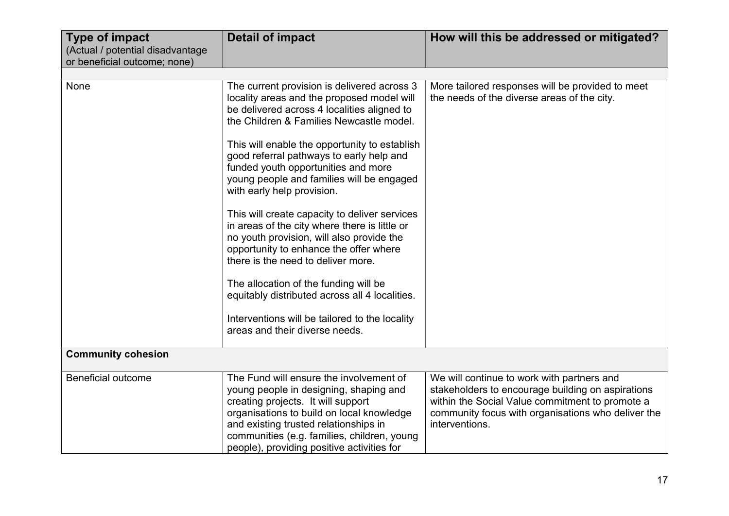| <b>Type of impact</b><br>(Actual / potential disadvantage<br>or beneficial outcome; none) | <b>Detail of impact</b>                                                                                                                                                                                                                                                                                                                                                                                                                                                                                                                                                                                                                                                                                                                                                         | How will this be addressed or mitigated?                                                                                                                                                                                   |
|-------------------------------------------------------------------------------------------|---------------------------------------------------------------------------------------------------------------------------------------------------------------------------------------------------------------------------------------------------------------------------------------------------------------------------------------------------------------------------------------------------------------------------------------------------------------------------------------------------------------------------------------------------------------------------------------------------------------------------------------------------------------------------------------------------------------------------------------------------------------------------------|----------------------------------------------------------------------------------------------------------------------------------------------------------------------------------------------------------------------------|
|                                                                                           |                                                                                                                                                                                                                                                                                                                                                                                                                                                                                                                                                                                                                                                                                                                                                                                 |                                                                                                                                                                                                                            |
| None                                                                                      | The current provision is delivered across 3<br>locality areas and the proposed model will<br>be delivered across 4 localities aligned to<br>the Children & Families Newcastle model.<br>This will enable the opportunity to establish<br>good referral pathways to early help and<br>funded youth opportunities and more<br>young people and families will be engaged<br>with early help provision.<br>This will create capacity to deliver services<br>in areas of the city where there is little or<br>no youth provision, will also provide the<br>opportunity to enhance the offer where<br>there is the need to deliver more.<br>The allocation of the funding will be<br>equitably distributed across all 4 localities.<br>Interventions will be tailored to the locality | More tailored responses will be provided to meet<br>the needs of the diverse areas of the city.                                                                                                                            |
|                                                                                           | areas and their diverse needs.                                                                                                                                                                                                                                                                                                                                                                                                                                                                                                                                                                                                                                                                                                                                                  |                                                                                                                                                                                                                            |
| <b>Community cohesion</b>                                                                 |                                                                                                                                                                                                                                                                                                                                                                                                                                                                                                                                                                                                                                                                                                                                                                                 |                                                                                                                                                                                                                            |
| <b>Beneficial outcome</b>                                                                 | The Fund will ensure the involvement of<br>young people in designing, shaping and<br>creating projects. It will support<br>organisations to build on local knowledge<br>and existing trusted relationships in<br>communities (e.g. families, children, young<br>people), providing positive activities for                                                                                                                                                                                                                                                                                                                                                                                                                                                                      | We will continue to work with partners and<br>stakeholders to encourage building on aspirations<br>within the Social Value commitment to promote a<br>community focus with organisations who deliver the<br>interventions. |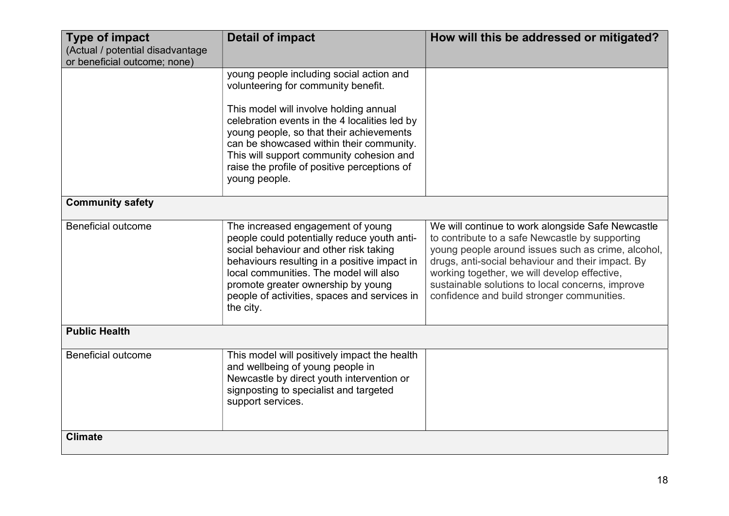| <b>Type of impact</b><br>(Actual / potential disadvantage<br>or beneficial outcome; none) | <b>Detail of impact</b>                                                                                                                                                                                                                                                                                                 | How will this be addressed or mitigated?                                                                                                                                                                                                                                                                                                                          |  |
|-------------------------------------------------------------------------------------------|-------------------------------------------------------------------------------------------------------------------------------------------------------------------------------------------------------------------------------------------------------------------------------------------------------------------------|-------------------------------------------------------------------------------------------------------------------------------------------------------------------------------------------------------------------------------------------------------------------------------------------------------------------------------------------------------------------|--|
|                                                                                           | young people including social action and<br>volunteering for community benefit.                                                                                                                                                                                                                                         |                                                                                                                                                                                                                                                                                                                                                                   |  |
|                                                                                           | This model will involve holding annual<br>celebration events in the 4 localities led by<br>young people, so that their achievements<br>can be showcased within their community.<br>This will support community cohesion and<br>raise the profile of positive perceptions of<br>young people.                            |                                                                                                                                                                                                                                                                                                                                                                   |  |
| <b>Community safety</b>                                                                   |                                                                                                                                                                                                                                                                                                                         |                                                                                                                                                                                                                                                                                                                                                                   |  |
| <b>Beneficial outcome</b>                                                                 | The increased engagement of young<br>people could potentially reduce youth anti-<br>social behaviour and other risk taking<br>behaviours resulting in a positive impact in<br>local communities. The model will also<br>promote greater ownership by young<br>people of activities, spaces and services in<br>the city. | We will continue to work alongside Safe Newcastle<br>to contribute to a safe Newcastle by supporting<br>young people around issues such as crime, alcohol,<br>drugs, anti-social behaviour and their impact. By<br>working together, we will develop effective,<br>sustainable solutions to local concerns, improve<br>confidence and build stronger communities. |  |
| <b>Public Health</b>                                                                      |                                                                                                                                                                                                                                                                                                                         |                                                                                                                                                                                                                                                                                                                                                                   |  |
| <b>Beneficial outcome</b>                                                                 | This model will positively impact the health<br>and wellbeing of young people in<br>Newcastle by direct youth intervention or<br>signposting to specialist and targeted<br>support services.                                                                                                                            |                                                                                                                                                                                                                                                                                                                                                                   |  |
| <b>Climate</b>                                                                            |                                                                                                                                                                                                                                                                                                                         |                                                                                                                                                                                                                                                                                                                                                                   |  |